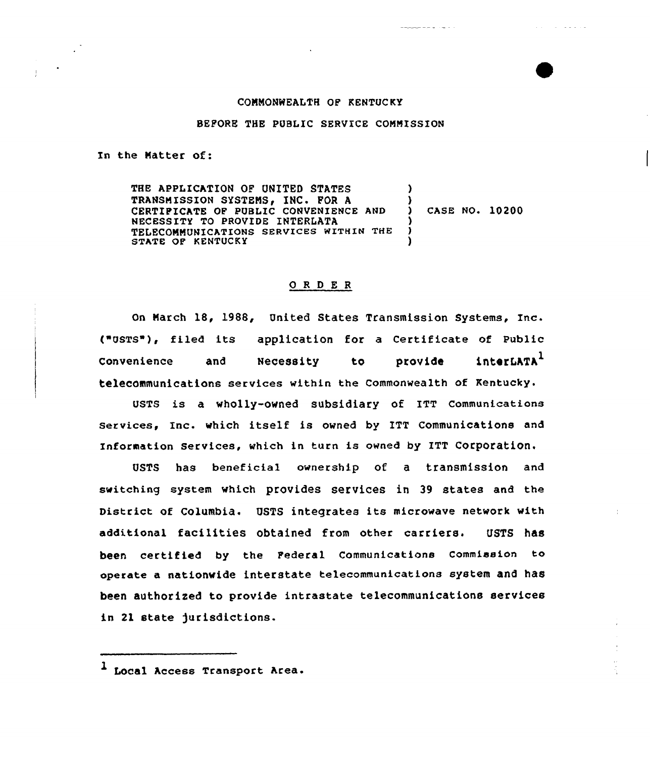## COMMONWEALTH OF KENTUCKY

2222.23

 $\mathcal{A}=\mathcal{A}=\mathcal{A}$  , and

## BEFORE THE PUBLIC SERVICE COMMISSION

In the Natter of:

 $\frac{1}{2}$ 

THE APPLICATION OF UNITED STATES TRANSMISSION SYSTEMS, INC. FOR A CERTIFICATE OF PUBLIC CONVENIENCE AND NECESSITY TO PROVIDE INTERKATA TELECONNUMICATIONS SERVICES WITHIN THE STATE OF KENTUCKY )  $\mathbf{\Sigma}$ CASE NO. 10200 ) ) )

## 0 <sup>R</sup> <sup>D</sup> <sup>E</sup> <sup>R</sup>

On Narch 18, 1988, United States Transmission Systems, Inc. ("QSTS ), filed its application for <sup>a</sup> Certificate of Public Convenience and Necessity to provide interLATA<sup>1</sup> telecommunications services within the commonwealth of Kentucky.

UsTs is a wholly-owned subsidiary of ITT communications services, Inc. which itself is owned by ITT Communications and Information services, which in turn is owned by ITT corporation.

QSTS has beneficial ownership of a transmission and switching system which provides services in 39 states and the District of Columbia. OSTS integrates its microwave network with additional facilities obtained from other carriers. USTS has been certified by the Federal Communications Commission to operate a nationwide interstate telecommunications system and has been authorized to provide intrastate telecommunications services in 21 state )urisdictions.

Local Access Transport Area.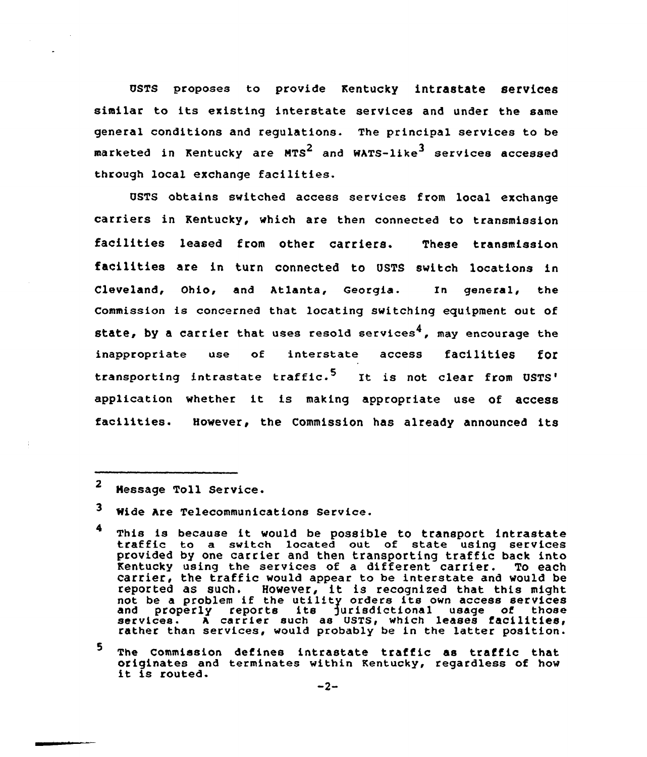UsTs proposes to provide Kentucky intrastate services similar to its existing interstate services and under the same general conditions and regulations. The principal services to be marketed in Kentucky are MTS<sup>2</sup> and WATS-like<sup>3</sup> services accessed through local exchange facilities.

USTS obtains switched access services from local exchange carriers in Kentucky, which are then connected to transmission facilities leased from other carriers. These transmission facilities are in turn connected to USTS switch locations in Cleveland, Ohio, and Atlanta, Georgia. In general, the commission is concerned that locating switching equipment out of state, by a carrier that uses resold services<sup>4</sup>, may encourage the inappropriate use of interstate access facilities for transporting intrastate traffic.<sup>5</sup> It is not clear from USTS' application whether it is making appropriate use of access facilities. However, the Commission has already announced its

<sup>2</sup> Hessage Toll Service.

- 4 This is because it would be possible to transport intrastate<br>traffic to a switch located out of state using services provided by one carrier and then transporting traffic back into Kentucky using the services of <sup>a</sup> different carrier. To each carrier, the traffic would appear to be interstate and would be carrier, the trainic would appear to be interstate and would b<br>reported as such. However, it is recognized that this migh reported as such. However, it is recognized that this might not be a propies it che utility orders its own access services<br>and properly reports its jurisdictional usage of those<br>services. A carrier such as USTS, which leases facilities rather than services, would probably be in the latter position.
- 5 The Commission defines intrastate traffic as traffic that originates and terminates within Kentucky, regardless of how<br>it is routed.  $-2-$

 $\mathbf{3}$ Wide Are Telecommunications Service.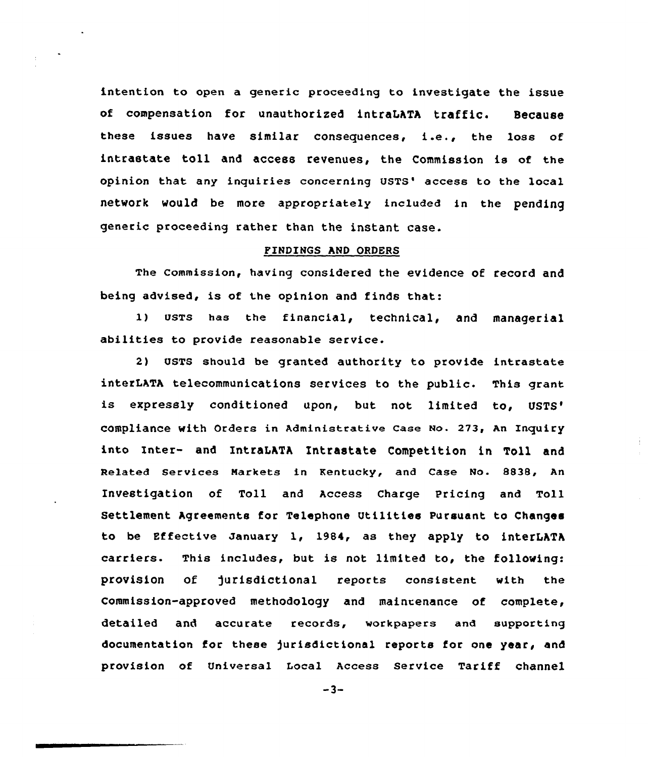intention to open a generic proceeding to investigate the issue of compensation for unauthorized intraLATA traffic. Because these issues have similar consequences, i.e., the loss of intrastate toll and access revenues, the Commission is of the opinion that any inquiries concerning USTS' access to the local network would be more appropriately included in the pending generic proceeding rather than the instant case.

## PINDINQS AND ORDERS

The commission, having considered the evidence of record and being advised, is of the opinion and finds that:

1) USTs has the financial, technical, and managerial abilities to provide reasonable service.

2) USTS should be granted authority to provide intrastate interLATA telecommunications services to the public. This grant is expressly conditioned upon, but not limited to, USTS' with Orders in Administrative Case No. 273, An Inquir into Inter- and IntraLATA Intrastate Competition in Toll and Related Services Narkets in Kentucky, and Case No. 8838, An Investigation of Toll and Access Charge Pricing and Toll Settlement Agreements for Telephone utilities Pursuant to Changes to be Effective January 1, 1984, as they apply to interLATA carriers. This includes, but is not limited to, the following: provision of Jurisdictional reports consistent with the Commission-approved methodology and main~enance of complete, detailed and accurate records, workpapers and supporting documentation for these Jurisdictional reports for one year, and provision of Universal Local Access Service Tariff channel

 $-3-$